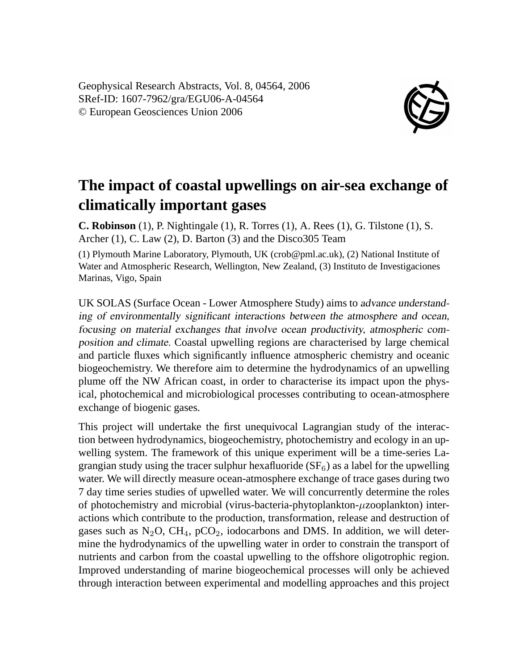Geophysical Research Abstracts, Vol. 8, 04564, 2006 SRef-ID: 1607-7962/gra/EGU06-A-04564 © European Geosciences Union 2006



## **The impact of coastal upwellings on air-sea exchange of climatically important gases**

**C. Robinson** (1), P. Nightingale (1), R. Torres (1), A. Rees (1), G. Tilstone (1), S. Archer (1), C. Law (2), D. Barton (3) and the Disco305 Team

(1) Plymouth Marine Laboratory, Plymouth, UK (crob@pml.ac.uk), (2) National Institute of Water and Atmospheric Research, Wellington, New Zealand, (3) Instituto de Investigaciones Marinas, Vigo, Spain

UK SOLAS (Surface Ocean - Lower Atmosphere Study) aims to advance understanding of environmentally significant interactions between the atmosphere and ocean, focusing on material exchanges that involve ocean productivity, atmospheric composition and climate. Coastal upwelling regions are characterised by large chemical and particle fluxes which significantly influence atmospheric chemistry and oceanic biogeochemistry. We therefore aim to determine the hydrodynamics of an upwelling plume off the NW African coast, in order to characterise its impact upon the physical, photochemical and microbiological processes contributing to ocean-atmosphere exchange of biogenic gases.

This project will undertake the first unequivocal Lagrangian study of the interaction between hydrodynamics, biogeochemistry, photochemistry and ecology in an upwelling system. The framework of this unique experiment will be a time-series Lagrangian study using the tracer sulphur hexafluoride  $(SF<sub>6</sub>)$  as a label for the upwelling water. We will directly measure ocean-atmosphere exchange of trace gases during two 7 day time series studies of upwelled water. We will concurrently determine the roles of photochemistry and microbial (virus-bacteria-phytoplankton-µzooplankton) interactions which contribute to the production, transformation, release and destruction of gases such as  $N_2O$ ,  $CH_4$ ,  $pCO_2$ , iodocarbons and DMS. In addition, we will determine the hydrodynamics of the upwelling water in order to constrain the transport of nutrients and carbon from the coastal upwelling to the offshore oligotrophic region. Improved understanding of marine biogeochemical processes will only be achieved through interaction between experimental and modelling approaches and this project